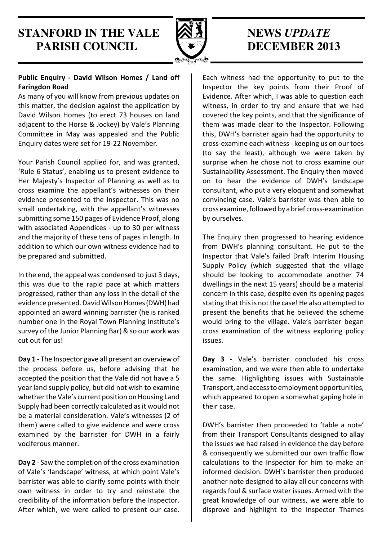### **STANFORD IN THE VALE**  $\otimes$  **3 MEWS UPDATE PARISH COUNCIL DECEMBER 2013**



#### Public Enquiry - David Wilson Homes / Land off Faringdon Road

As many of you will know from previous updates on this matter, the decision against the application by David Wilson Homes (to erect 73 houses on land adjacent to the Horse & Jockey) by Vale's Planning Committee in May was appealed and the Public Enquiry dates were set for 19-22 November.

Your Parish Council applied for, and was granted, 'Rule 6 Status', enabling us to present evidence to Her Majesty's Inspector of Planning as well as to cross examine the appellant's witnesses on their evidence presented to the Inspector. This was no small undertaking, with the appellant's witnesses submitting some 150 pages of Evidence Proof, along with associated Appendices - up to 30 per witness and the majority of these tens of pages in length. In addition to which our own witness evidence had to be prepared and submitted.

In the end, the appeal was condensed to just 3 days, this was due to the rapid pace at which matters progressed, rather than any loss in the detail of the evidence presented. David Wilson Homes (DWH) had appointed an award winning barrister (he is ranked number one in the Royal Town Planning Institute's survey of the Junior Planning Bar) & so our work was cut out for us!

Day 1 - The Inspector gave all present an overview of the process before us, before advising that he accepted the position that the Vale did not have a 5 year land supply policy, but did not wish to examine whether the Vale's current position on Housing Land Supply had been correctly calculated as it would not be a material consideration. Vale's witnesses (2 of them) were called to give evidence and were cross examined by the barrister for DWH in a fairly vociferous manner.

Day 2 - Saw the completion of the cross examination of Vale's 'landscape' witness, at which point Vale's barrister was able to clarify some points with their own witness in order to try and reinstate the credibility of the information before the Inspector. After which, we were called to present our case.

Each witness had the opportunity to put to the Inspector the key points from their Proof of Evidence. After which, I was able to question each witness, in order to try and ensure that we had covered the key points, and that the significance of them was made clear to the Inspector. Following this, DWH's barrister again had the opportunity to cross-examine each witness - keeping us on our toes (to say the least), although we were taken by surprise when he chose not to cross examine our Sustainability Assessment. The Enquiry then moved on to hear the evidence of DWH's landscape consultant, who put a very eloquent and somewhat convincing case. Vale's barrister was then able to cross examine, followed by a brief cross-examination by ourselves.

The Enquiry then progressed to hearing evidence from DWH's planning consultant. He put to the Inspector that Vale's failed Draft Interim Housing Supply Policy (which suggested that the village should be looking to accommodate another 74 dwellings in the next 15 years) should be a material concern in this case, despite even its opening pages stating that this is not the case! He also attempted to present the benefits that he believed the scheme would bring to the village. Vale's barrister began cross examination of the witness exploring policy issues.

Day 3 - Vale's barrister concluded his cross examination, and we were then able to undertake the same. Highlighting issues with Sustainable Transport, and access to employment opportunities, which appeared to open a somewhat gaping hole in their case.

DWH's barrister then proceeded to 'table a note' from their Transport Consultants designed to allay the issues we had raised in evidence the day before & consequently we submitted our own traffic flow calculations to the Inspector for him to make an informed decision. DWH's barrister then produced another note designed to allay all our concerns with regards foul & surface water issues. Armed with the great knowledge of our witness, we were able to disprove and highlight to the Inspector Thames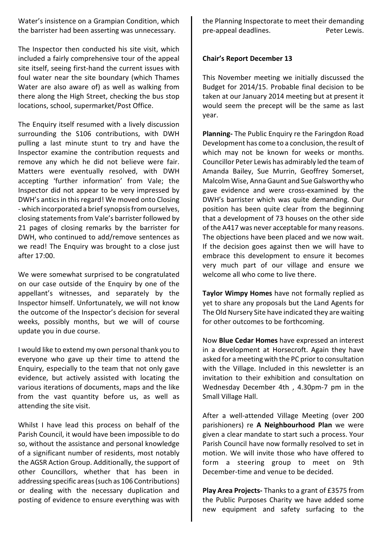Water's insistence on a Grampian Condition, which the barrister had been asserting was unnecessary.

The Inspector then conducted his site visit, which included a fairly comprehensive tour of the appeal site itself, seeing first-hand the current issues with foul water near the site boundary (which Thames Water are also aware of) as well as walking from there along the High Street, checking the bus stop locations, school, supermarket/Post Office.

The Enquiry itself resumed with a lively discussion surrounding the S106 contributions, with DWH pulling a last minute stunt to try and have the Inspector examine the contribution requests and remove any which he did not believe were fair. Matters were eventually resolved, with DWH accepting 'further information' from Vale; the Inspector did not appear to be very impressed by DWH's antics in this regard! We moved onto Closing - which incorporated a brief synopsis from ourselves, closing statements from Vale's barrister followed by 21 pages of closing remarks by the barrister for DWH, who continued to add/remove sentences as we read! The Enquiry was brought to a close just after 17:00.

We were somewhat surprised to be congratulated on our case outside of the Enquiry by one of the appellant's witnesses, and separately by the Inspector himself. Unfortunately, we will not know the outcome of the Inspector's decision for several weeks, possibly months, but we will of course update you in due course.

I would like to extend my own personal thank you to everyone who gave up their time to attend the Enquiry, especially to the team that not only gave evidence, but actively assisted with locating the various iterations of documents, maps and the like from the vast quantity before us, as well as attending the site visit.

Whilst I have lead this process on behalf of the Parish Council, it would have been impossible to do so, without the assistance and personal knowledge of a significant number of residents, most notably the AGSR Action Group. Additionally, the support of other Councillors, whether that has been in addressing specific areas (such as 106 Contributions) or dealing with the necessary duplication and posting of evidence to ensure everything was with

the Planning Inspectorate to meet their demanding pre-appeal deadlines. The peter Lewis.

#### Chair's Report December 13

This November meeting we initially discussed the Budget for 2014/15. Probable final decision to be taken at our January 2014 meeting but at present it would seem the precept will be the same as last year.

Planning- The Public Enquiry re the Faringdon Road Development has come to a conclusion, the result of which may not be known for weeks or months. Councillor Peter Lewis has admirably led the team of Amanda Bailey, Sue Murrin, Geoffrey Somerset, Malcolm Wise, Anna Gaunt and Sue Galsworthy who gave evidence and were cross-examined by the DWH's barrister which was quite demanding. Our position has been quite clear from the beginning that a development of 73 houses on the other side of the A417 was never acceptable for many reasons. The objections have been placed and we now wait. If the decision goes against then we will have to embrace this development to ensure it becomes very much part of our village and ensure we welcome all who come to live there.

Taylor Wimpy Homes have not formally replied as yet to share any proposals but the Land Agents for The Old Nursery Site have indicated they are waiting for other outcomes to be forthcoming.

Now Blue Cedar Homes have expressed an interest in a development at Horsecroft. Again they have asked for a meeting with the PC prior to consultation with the Village. Included in this newsletter is an invitation to their exhibition and consultation on Wednesday December 4th , 4.30pm-7 pm in the Small Village Hall.

After a well-attended Village Meeting (over 200 parishioners) re A Neighbourhood Plan we were given a clear mandate to start such a process. Your Parish Council have now formally resolved to set in motion. We will invite those who have offered to form a steering group to meet on 9th December-time and venue to be decided.

Play Area Projects- Thanks to a grant of £3575 from the Public Purposes Charity we have added some new equipment and safety surfacing to the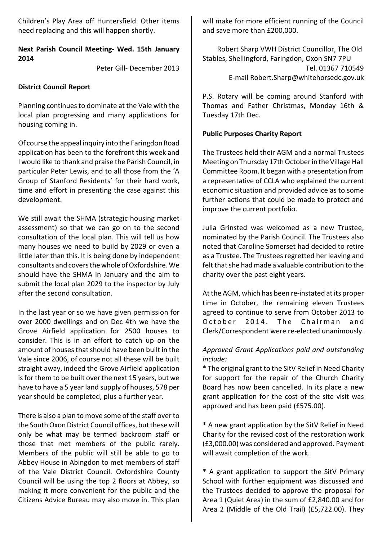Children's Play Area off Huntersfield. Other items need replacing and this will happen shortly.

#### Next Parish Council Meeting- Wed. 15th January 2014

Peter Gill- December 2013

#### District Council Report

Planning continues to dominate at the Vale with the local plan progressing and many applications for housing coming in.

Of course the appeal inquiry into the Faringdon Road application has been to the forefront this week and I would like to thank and praise the Parish Council, in particular Peter Lewis, and to all those from the 'A Group of Stanford Residents' for their hard work, time and effort in presenting the case against this development.

We still await the SHMA (strategic housing market assessment) so that we can go on to the second consultation of the local plan. This will tell us how many houses we need to build by 2029 or even a little later than this. It is being done by independent consultants and covers the whole of Oxfordshire. We should have the SHMA in January and the aim to submit the local plan 2029 to the inspector by July after the second consultation.

In the last year or so we have given permission for over 2000 dwellings and on Dec 4th we have the Grove Airfield application for 2500 houses to consider. This is in an effort to catch up on the amount of houses that should have been built in the Vale since 2006, of course not all these will be built straight away, indeed the Grove Airfield application is for them to be built over the next 15 years, but we have to have a 5 year land supply of houses, 578 per year should be completed, plus a further year.

There is also a plan to move some of the staff over to the South Oxon District Council offices, but these will only be what may be termed backroom staff or those that met members of the public rarely. Members of the public will still be able to go to Abbey House in Abingdon to met members of staff of the Vale District Council. Oxfordshire County Council will be using the top 2 floors at Abbey, so making it more convenient for the public and the Citizens Advice Bureau may also move in. This plan

will make for more efficient running of the Council and save more than £200,000.

Robert Sharp VWH District Councillor, The Old Stables, Shellingford, Faringdon, Oxon SN7 7PU Tel. 01367 710549 E-mail Robert.Sharp@whitehorsedc.gov.uk

P.S. Rotary will be coming around Stanford with Thomas and Father Christmas, Monday 16th & Tuesday 17th Dec.

#### Public Purposes Charity Report

The Trustees held their AGM and a normal Trustees Meeting on Thursday 17th October in the Village Hall Committee Room. It began with a presentation from a representative of CCLA who explained the current economic situation and provided advice as to some further actions that could be made to protect and improve the current portfolio.

Julia Grinsted was welcomed as a new Trustee, nominated by the Parish Council. The Trustees also noted that Caroline Somerset had decided to retire as a Trustee. The Trustees regretted her leaving and felt that she had made a valuable contribution to the charity over the past eight years.

At the AGM, which has been re-instated at its proper time in October, the remaining eleven Trustees agreed to continue to serve from October 2013 to October 2014. The Chairman and Clerk/Correspondent were re-elected unanimously.

### Approved Grant Applications paid and outstanding include:

\* The original grant to the SitV Relief in Need Charity for support for the repair of the Church Charity Board has now been cancelled. In its place a new grant application for the cost of the site visit was approved and has been paid (£575.00).

\* A new grant application by the SitV Relief in Need Charity for the revised cost of the restoration work (£3,000.00) was considered and approved. Payment will await completion of the work.

\* A grant application to support the SitV Primary School with further equipment was discussed and the Trustees decided to approve the proposal for Area 1 (Quiet Area) in the sum of £2,840.00 and for Area 2 (Middle of the Old Trail) (£5,722.00). They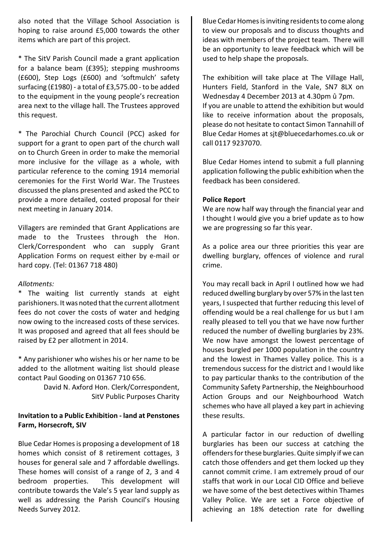also noted that the Village School Association is hoping to raise around £5,000 towards the other items which are part of this project.

\* The SitV Parish Council made a grant application for a balance beam (£395); stepping mushrooms (£600), Step Logs (£600) and 'softmulch' safety surfacing (£1980) - a total of £3,575.00 - to be added to the equipment in the young people's recreation area next to the village hall. The Trustees approved this request.

\* The Parochial Church Council (PCC) asked for support for a grant to open part of the church wall on to Church Green in order to make the memorial more inclusive for the village as a whole, with particular reference to the coming 1914 memorial ceremonies for the First World War. The Trustees discussed the plans presented and asked the PCC to provide a more detailed, costed proposal for their next meeting in January 2014.

Villagers are reminded that Grant Applications are made to the Trustees through the Hon. Clerk/Correspondent who can supply Grant Application Forms on request either by e-mail or hard copy. (Tel: 01367 718 480)

#### Allotments:

The waiting list currently stands at eight parishioners. It was noted that the current allotment fees do not cover the costs of water and hedging now owing to the increased costs of these services. It was proposed and agreed that all fees should be raised by £2 per allotment in 2014.

\* Any parishioner who wishes his or her name to be added to the allotment waiting list should please contact Paul Gooding on 01367 710 656.

> David N. Axford Hon. Clerk/Correspondent, SitV Public Purposes Charity

#### Invitation to a Public Exhibition - land at Penstones Farm, Horsecroft, SIV

Blue Cedar Homes is proposing a development of 18 homes which consist of 8 retirement cottages, 3 houses for general sale and 7 affordable dwellings. These homes will consist of a range of 2, 3 and 4 bedroom properties. This development will contribute towards the Vale's 5 year land supply as well as addressing the Parish Council's Housing Needs Survey 2012.

Blue Cedar Homes is inviting residents to come along to view our proposals and to discuss thoughts and ideas with members of the project team. There will be an opportunity to leave feedback which will be used to help shape the proposals.

The exhibition will take place at The Village Hall, Hunters Field, Stanford in the Vale, SN7 8LX on Wednesday 4 December 2013 at 4.30pm û 7pm. If you are unable to attend the exhibition but would like to receive information about the proposals, please do not hesitate to contact Simon Tannahill of Blue Cedar Homes at sjt@bluecedarhomes.co.uk or call 0117 9237070.

Blue Cedar Homes intend to submit a full planning application following the public exhibition when the feedback has been considered.

#### Police Report

We are now half way through the financial year and I thought I would give you a brief update as to how we are progressing so far this year.

As a police area our three priorities this year are dwelling burglary, offences of violence and rural crime.

You may recall back in April I outlined how we had reduced dwelling burglary by over 57% in the last ten years, I suspected that further reducing this level of offending would be a real challenge for us but I am really pleased to tell you that we have now further reduced the number of dwelling burglaries by 23%. We now have amongst the lowest percentage of houses burgled per 1000 population in the country and the lowest in Thames Valley police. This is a tremendous success for the district and I would like to pay particular thanks to the contribution of the Community Safety Partnership, the Neighbourhood Action Groups and our Neighbourhood Watch schemes who have all played a key part in achieving these results.

A particular factor in our reduction of dwelling burglaries has been our success at catching the offenders for these burglaries. Quite simply if we can catch those offenders and get them locked up they cannot commit crime. I am extremely proud of our staffs that work in our Local CID Office and believe we have some of the best detectives within Thames Valley Police. We are set a Force objective of achieving an 18% detection rate for dwelling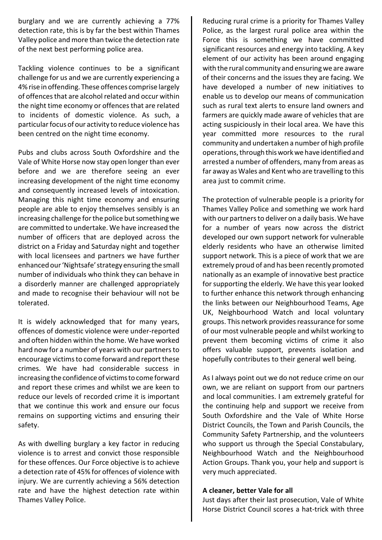burglary and we are currently achieving a 77% detection rate, this is by far the best within Thames Valley police and more than twice the detection rate of the next best performing police area.

Tackling violence continues to be a significant challenge for us and we are currently experiencing a 4% rise in offending. These offences comprise largely of offences that are alcohol related and occur within the night time economy or offences that are related to incidents of domestic violence. As such, a particular focus of our activity to reduce violence has been centred on the night time economy.

Pubs and clubs across South Oxfordshire and the Vale of White Horse now stay open longer than ever before and we are therefore seeing an ever increasing development of the night time economy and consequently increased levels of intoxication. Managing this night time economy and ensuring people are able to enjoy themselves sensibly is an increasing challenge for the police but something we are committed to undertake. We have increased the number of officers that are deployed across the district on a Friday and Saturday night and together with local licensees and partners we have further enhanced our 'Nightsafe' strategy ensuring the small number of individuals who think they can behave in a disorderly manner are challenged appropriately and made to recognise their behaviour will not be tolerated.

It is widely acknowledged that for many years, offences of domestic violence were under-reported and often hidden within the home. We have worked hard now for a number of years with our partners to encourage victims to come forward and report these crimes. We have had considerable success in increasing the confidence of victims to come forward and report these crimes and whilst we are keen to reduce our levels of recorded crime it is important that we continue this work and ensure our focus remains on supporting victims and ensuring their safety.

As with dwelling burglary a key factor in reducing violence is to arrest and convict those responsible for these offences. Our Force objective is to achieve a detection rate of 45% for offences of violence with injury. We are currently achieving a 56% detection rate and have the highest detection rate within Thames Valley Police.

Reducing rural crime is a priority for Thames Valley Police, as the largest rural police area within the Force this is something we have committed significant resources and energy into tackling. A key element of our activity has been around engaging with the rural community and ensuring we are aware of their concerns and the issues they are facing. We have developed a number of new initiatives to enable us to develop our means of communication such as rural text alerts to ensure land owners and farmers are quickly made aware of vehicles that are acting suspiciously in their local area. We have this year committed more resources to the rural community and undertaken a number of high profile operations, through this work we have identified and arrested a number of offenders, many from areas as far away as Wales and Kent who are travelling to this area just to commit crime.

The protection of vulnerable people is a priority for Thames Valley Police and something we work hard with our partners to deliver on a daily basis. We have for a number of years now across the district developed our own support network for vulnerable elderly residents who have an otherwise limited support network. This is a piece of work that we are extremely proud of and has been recently promoted nationally as an example of innovative best practice for supporting the elderly. We have this year looked to further enhance this network through enhancing the links between our Neighbourhood Teams, Age UK, Neighbourhood Watch and local voluntary groups. This network provides reassurance for some of our most vulnerable people and whilst working to prevent them becoming victims of crime it also offers valuable support, prevents isolation and hopefully contributes to their general well being.

As I always point out we do not reduce crime on our own, we are reliant on support from our partners and local communities. I am extremely grateful for the continuing help and support we receive from South Oxfordshire and the Vale of White Horse District Councils, the Town and Parish Councils, the Community Safety Partnership, and the volunteers who support us through the Special Constabulary, Neighbourhood Watch and the Neighbourhood Action Groups. Thank you, your help and support is very much appreciated.

#### A cleaner, better Vale for all

Just days after their last prosecution, Vale of White Horse District Council scores a hat-trick with three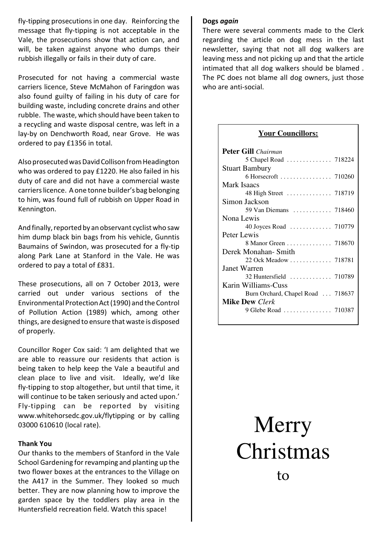fly-tipping prosecutions in one day. Reinforcing the message that fly-tipping is not acceptable in the Vale, the prosecutions show that action can, and will, be taken against anyone who dumps their rubbish illegally or fails in their duty of care.

Prosecuted for not having a commercial waste carriers licence, Steve McMahon of Faringdon was also found guilty of failing in his duty of care for building waste, including concrete drains and other rubble. The waste, which should have been taken to a recycling and waste disposal centre, was left in a lay-by on Denchworth Road, near Grove. He was ordered to pay £1356 in total.

Also prosecuted was David Collison from Headington who was ordered to pay £1220. He also failed in his duty of care and did not have a commercial waste carriers licence. A one tonne builder's bag belonging to him, was found full of rubbish on Upper Road in Kennington.

And finally, reported by an observant cyclist who saw him dump black bin bags from his vehicle, Gunntis Baumains of Swindon, was prosecuted for a fly-tip along Park Lane at Stanford in the Vale. He was ordered to pay a total of £831.

These prosecutions, all on 7 October 2013, were carried out under various sections of the Environmental Protection Act (1990) and the Control of Pollution Action (1989) which, among other things, are designed to ensure that waste is disposed of properly.

Councillor Roger Cox said: 'I am delighted that we are able to reassure our residents that action is being taken to help keep the Vale a beautiful and clean place to live and visit. Ideally, we'd like fly-tipping to stop altogether, but until that time, it will continue to be taken seriously and acted upon.' Fly-tipping can be reported by visiting www.whitehorsedc.gov.uk/flytipping or by calling 03000 610610 (local rate).

#### Thank You

Our thanks to the members of Stanford in the Vale School Gardening for revamping and planting up the two flower boxes at the entrances to the Village on the A417 in the Summer. They looked so much better. They are now planning how to improve the garden space by the toddlers play area in the Huntersfield recreation field. Watch this space!

#### Dogs again

There were several comments made to the Clerk regarding the article on dog mess in the last newsletter, saying that not all dog walkers are leaving mess and not picking up and that the article intimated that all dog walkers should be blamed . The PC does not blame all dog owners, just those who are anti-social.

#### **Your Councillors:**

| <b>Peter Gill</b> Chairman        |  |
|-----------------------------------|--|
| 5 Chapel Road  718224             |  |
| <b>Stuart Bambury</b>             |  |
| 6 Horsecroft  710260              |  |
| <b>Mark Isaacs</b>                |  |
| 48 High Street  718719            |  |
| Simon Jackson                     |  |
| 59 Van Diemans  718460            |  |
| Nona Lewis                        |  |
| 40 Joyces Road  710779            |  |
| Peter Lewis                       |  |
| 8 Manor Green 718670              |  |
| Derek Monahan-Smith               |  |
| 22 Ock Meadow  718781             |  |
| <b>Janet Warren</b>               |  |
| 32 Huntersfield  710789           |  |
| Karin Williams-Cuss               |  |
| Burn Orchard, Chapel Road  718637 |  |
| <b>Mike Dew</b> Clerk             |  |
| 9 Glebe Road  710387              |  |
|                                   |  |

# Merry Christmas to